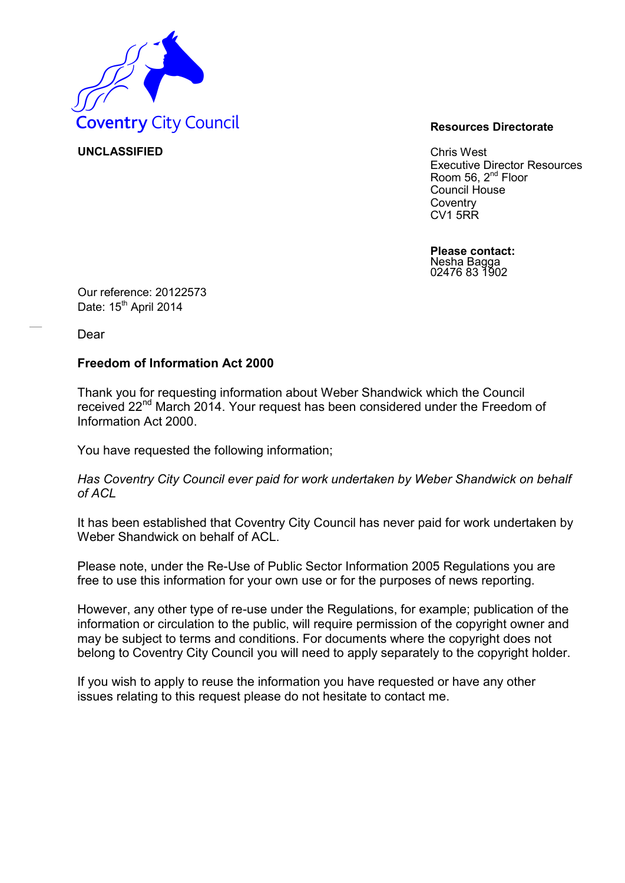

**UNCLASSIFIED** Chris West Executive Director Resources Room 56,  $2^{nd}$  Floor Council House **Coventry** CV1 5RR

> **Please contact:** Nesha Bagga 02476 83 1902

Our reference: 20122573 Date: 15<sup>th</sup> April 2014

Dear

## **Freedom of Information Act 2000**

Thank you for requesting information about Weber Shandwick which the Council received 22<sup>nd</sup> March 2014. Your request has been considered under the Freedom of Information Act 2000.

You have requested the following information;

*Has Coventry City Council ever paid for work undertaken by Weber Shandwick on behalf of ACL* 

It has been established that Coventry City Council has never paid for work undertaken by Weber Shandwick on behalf of ACL.

Please note, under the Re-Use of Public Sector Information 2005 Regulations you are free to use this information for your own use or for the purposes of news reporting.

However, any other type of re-use under the Regulations, for example; publication of the information or circulation to the public, will require permission of the copyright owner and may be subject to terms and conditions. For documents where the copyright does not belong to Coventry City Council you will need to apply separately to the copyright holder.

If you wish to apply to reuse the information you have requested or have any other issues relating to this request please do not hesitate to contact me.